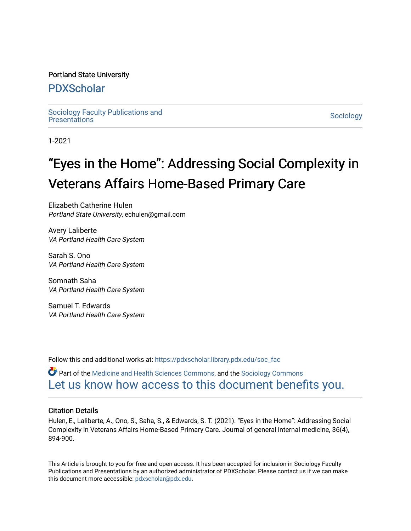#### Portland State University

### [PDXScholar](https://pdxscholar.library.pdx.edu/)

Sociology Faculty Publications and<br>Presentations Sociology Pacific Publications and<br>[Presentations](https://pdxscholar.library.pdx.edu/soc_fac) Sociology

1-2021

# "Eyes in the Home": Addressing Social Complexity in Veterans Affairs Home-Based Primary Care

Elizabeth Catherine Hulen Portland State University, echulen@gmail.com

Avery Laliberte VA Portland Health Care System

Sarah S. Ono VA Portland Health Care System

Somnath Saha VA Portland Health Care System

Samuel T. Edwards VA Portland Health Care System

Follow this and additional works at: [https://pdxscholar.library.pdx.edu/soc\\_fac](https://pdxscholar.library.pdx.edu/soc_fac?utm_source=pdxscholar.library.pdx.edu%2Fsoc_fac%2F175&utm_medium=PDF&utm_campaign=PDFCoverPages) 

**C** Part of the [Medicine and Health Sciences Commons,](http://network.bepress.com/hgg/discipline/648?utm_source=pdxscholar.library.pdx.edu%2Fsoc_fac%2F175&utm_medium=PDF&utm_campaign=PDFCoverPages) and the Sociology Commons [Let us know how access to this document benefits you.](http://library.pdx.edu/services/pdxscholar-services/pdxscholar-feedback/?ref=https://pdxscholar.library.pdx.edu/soc_fac/175) 

#### Citation Details

Hulen, E., Laliberte, A., Ono, S., Saha, S., & Edwards, S. T. (2021). "Eyes in the Home": Addressing Social Complexity in Veterans Affairs Home-Based Primary Care. Journal of general internal medicine, 36(4), 894-900.

This Article is brought to you for free and open access. It has been accepted for inclusion in Sociology Faculty Publications and Presentations by an authorized administrator of PDXScholar. Please contact us if we can make this document more accessible: [pdxscholar@pdx.edu.](mailto:pdxscholar@pdx.edu)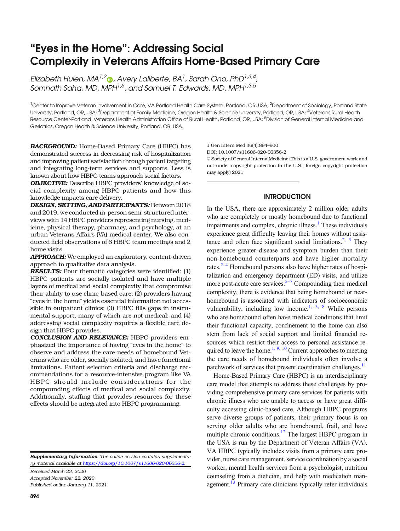## "Eyes in the Home": Addressing Social Complexity in Veterans Affairs Home-Based Primary Care

Elizabeth Hulen, MA<sup>1,2</sup> $\bullet$ , Avery Laliberte, BA<sup>1</sup>, Sarah Ono, PhD<sup>1,3,4</sup>, Somnath Saha, MD, MPH $^{1,5}$ , and Samuel T. Edwards, MD, MPH $^{1,3,5}$ 

<sup>1</sup>Center to Improve Veteran Involvement in Care, VA Portland Health Care System, Portland, OR, USA; <sup>2</sup>Department of Sociology, Portland State University, Portland, OR, USA; <sup>3</sup>Department of Family Medicine, Oregon Health & Science University, Portland, OR, USA; <sup>4</sup>Veterans Rural Health Resource Center-Portland, Veterans Health Administration Office of Rural Health, Portland, OR, USA; <sup>5</sup>Division of General Internal Medicine and Geriatrics, Oregon Health & Science University, Portland, OR, USA.

BACKGROUND: Home-Based Primary Care (HBPC) has demonstrated success in decreasing risk of hospitalization and improving patient satisfaction through patient targeting and integrating long-term services and supports. Less is known about how HBPC teams approach social factors.

OBJECTIVE: Describe HBPC providers' knowledge of social complexity among HBPC patients and how this knowledge impacts care delivery.

DESIGN, SETTING, AND PARTICIPANTS: Between 2018 and 2019, we conducted in-person semi-structured interviews with 14 HBPC providers representing nursing, medicine, physical therapy, pharmacy, and psychology, at an urban Veterans Affairs (VA) medical center. We also conducted field observations of 6 HBPC team meetings and 2 home visits.

APPROACH: We employed an exploratory, content-driven approach to qualitative data analysis.

RESULTS: Four thematic categories were identified: (1) HBPC patients are socially isolated and have multiple layers of medical and social complexity that compromise their ability to use clinic-based care; (2) providers having "eyes in the home" yields essential information not accessible in outpatient clinics; (3) HBPC fills gaps in instrumental support, many of which are not medical; and (4) addressing social complexity requires a flexible care design that HBPC provides.

CONCLUSION AND RELEVANCE: HBPC providers emphasized the importance of having "eyes in the home" to observe and address the care needs of homebound Veterans who are older, socially isolated, and have functional limitations. Patient selection criteria and discharge recommendations for a resource-intensive program like VA HBPC should include considerations for the compounding effects of medical and social complexity. Additionally, staffing that provides resources for these effects should be integrated into HBPC programming.

Supplementary Information The online version contains supplementary material available at [https://doi.org/10.1007/s11606-020-06356-2](http://dx.doi.org/10.1007/s11606-020-06356-2).

Received March 23, 2020 Accepted November 22, 2020 Published online January 11, 2021 J Gen Intern Med 36(4):894–900 DOI: 10.1007/s11606-020-06356-2 © Society of General InternalMedicine (This is a U.S. government work and not under copyright protection in the U.S.; foreign copyright protection may apply) 2021

#### INTRODUCTION

In the USA, there are approximately 2 million older adults who are completely or mostly homebound due to functional impairments and complex, chronic illness.<sup>1</sup> These individuals experience great difficulty leaving their homes without assis-tance and often face significant social limitations.<sup>[2](#page-6-0), [3](#page-6-0)</sup> They experience greater disease and symptom burden than their non-homebound counterparts and have higher mortality rates.<sup>2–[4](#page-6-0)</sup> Homebound persons also have higher rates of hospitalization and emergency department (ED) visits, and utilize more post-acute care services. $5-7$  $5-7$  $5-7$  Compounding their medical complexity, there is evidence that being homebound or nearhomebound is associated with indicators of socioeconomic vulnerability, including low income.<sup>[1](#page-6-0), [3](#page-6-0), [8](#page-6-0)</sup> While persons who are homebound often have medical conditions that limit their functional capacity, confinement to the home can also stem from lack of social support and limited financial resources which restrict their access to personal assistance re-quired to leave the home.<sup>[1](#page-6-0), [9, 10](#page-6-0)</sup> Current approaches to meeting the care needs of homebound individuals often involve a patchwork of services that present coordination challenges.<sup>11</sup>

Home-Based Primary Care (HBPC) is an interdisciplinary care model that attempts to address these challenges by providing comprehensive primary care services for patients with chronic illness who are unable to access or have great difficulty accessing clinic-based care. Although HBPC programs serve diverse groups of patients, their primary focus is on serving older adults who are homebound, frail, and have multiple chronic conditions.<sup>12</sup> The largest HBPC program in the USA is run by the Department of Veteran Affairs (VA). VA HBPC typically includes visits from a primary care provider, nurse care management, service coordination by a social worker, mental health services from a psychologist, nutrition counseling from a dietician, and help with medication management.<sup>13</sup> Primary care clinicians typically refer individuals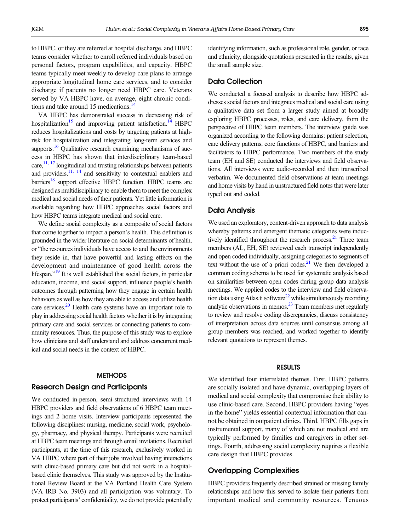to HBPC, or they are referred at hospital discharge, and HBPC teams consider whether to enroll referred individuals based on personal factors, program capabilities, and capacity. HBPC teams typically meet weekly to develop care plans to arrange appropriate longitudinal home care services, and to consider discharge if patients no longer need HBPC care. Veterans served by VA HBPC have, on average, eight chronic conditions and take around 15 medications.<sup>14</sup>

VA HBPC has demonstrated success in decreasing risk of hospitalization<sup>15</sup> and improving patient satisfaction.<sup>14</sup> HBPC reduces hospitalizations and costs by targeting patients at highrisk for hospitalization and integrating long-term services and supports.<sup>16</sup> Qualitative research examining mechanisms of success in HBPC has shown that interdisciplinary team-based care,  $^{11, 17}$  $^{11, 17}$  $^{11, 17}$  longitudinal and trusting relationships between patients and providers,  $\frac{11}{11}$ ,  $\frac{14}{14}$  and sensitivity to contextual enablers and barriers<sup>18</sup> support effective HBPC function. HBPC teams are designed as multidisciplinary to enable them to meet the complex medical and social needs of their patients. Yet little information is available regarding how HBPC approaches social factors and how HBPC teams integrate medical and social care.

We define social complexity as a composite of social factors that come together to impact a person's health. This definition is grounded in the wider literature on social determinants of health, or "the resources individuals have access to and the environments they reside in, that have powerful and lasting effects on the development and maintenance of good health across the lifespan."<sup>[19](#page-6-0)</sup> It is well established that social factors, in particular education, income, and social support, influence people's health outcomes through patterning how they engage in certain health behaviors as well as how they are able to access and utilize health care services.<sup>20</sup> Health care systems have an important role to play in addressing social health factors whether it is by integrating primary care and social services or connecting patients to community resources. Thus, the purpose of this study was to explore how clinicians and staff understand and address concurrent medical and social needs in the context of HBPC.

#### **METHODS**

#### Research Design and Participants

We conducted in-person, semi-structured interviews with 14 HBPC providers and field observations of 6 HBPC team meetings and 2 home visits. Interview participants represented the following disciplines: nursing, medicine, social work, psychology, pharmacy, and physical therapy. Participants were recruited at HBPC team meetings and through email invitations. Recruited participants, at the time of this research, exclusively worked in VA HBPC where part of their jobs involved having interactions with clinic-based primary care but did not work in a hospitalbased clinic themselves. This study was approved by the Institutional Review Board at the VA Portland Health Care System (VA IRB No. 3903) and all participation was voluntary. To protect participants' confidentiality, we do not provide potentially

identifying information, such as professional role, gender, or race and ethnicity, alongside quotations presented in the results, given the small sample size.

#### Data Collection

We conducted a focused analysis to describe how HBPC addresses social factors and integrates medical and social care using a qualitative data set from a larger study aimed at broadly exploring HBPC processes, roles, and care delivery, from the perspective of HBPC team members. The interview guide was organized according to the following domains: patient selection, care delivery patterns, core functions of HBPC, and barriers and facilitators to HBPC performance. Two members of the study team (EH and SE) conducted the interviews and field observations. All interviews were audio-recorded and then transcribed verbatim. We documented field observations at team meetings and home visits by hand in unstructured field notes that were later typed out and coded.

#### Data Analysis

We used an exploratory, content-driven approach to data analysis whereby patterns and emergent thematic categories were inductively identified throughout the research process. $21$  Three team members (AL, EH, SE) reviewed each transcript independently and open coded individually, assigning categories to segments of text without the use of a priori codes. $21$  We then developed a common coding schema to be used for systematic analysis based on similarities between open codes during group data analysis meetings. We applied codes to the interview and field observation data using Atlas.ti software $^{22}$  while simultaneously recording analytic observations in memos.<sup>23</sup> Team members met regularly to review and resolve coding discrepancies, discuss consistency of interpretation across data sources until consensus among all group members was reached, and worked together to identify relevant quotations to represent themes.

#### RESULTS

We identified four interrelated themes. First, HBPC patients are socially isolated and have dynamic, overlapping layers of medical and social complexity that compromise their ability to use clinic-based care. Second, HBPC providers having "eyes in the home" yields essential contextual information that cannot be obtained in outpatient clinics. Third, HBPC fills gaps in instrumental support, many of which are not medical and are typically performed by families and caregivers in other settings. Fourth, addressing social complexity requires a flexible care design that HBPC provides.

#### Overlapping Complexities

HBPC providers frequently described strained or missing family relationships and how this served to isolate their patients from important medical and community resources. Tenuous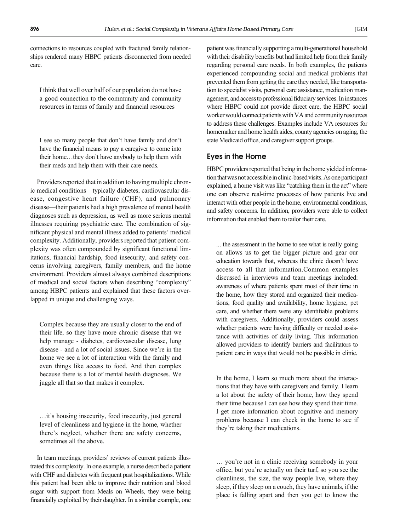connections to resources coupled with fractured family relationships rendered many HBPC patients disconnected from needed care.

I think that well over half of our population do not have a good connection to the community and community resources in terms of family and financial resources

I see so many people that don't have family and don't have the financial means to pay a caregiver to come into their home…they don't have anybody to help them with their meds and help them with their care needs.

Providers reported that in addition to having multiple chronic medical conditions—typically diabetes, cardiovascular disease, congestive heart failure (CHF), and pulmonary disease—their patients had a high prevalence of mental health diagnoses such as depression, as well as more serious mental illnesses requiring psychiatric care. The combination of significant physical and mental illness added to patients' medical complexity. Additionally, providers reported that patient complexity was often compounded by significant functional limitations, financial hardship, food insecurity, and safety concerns involving caregivers, family members, and the home environment. Providers almost always combined descriptions of medical and social factors when describing "complexity" among HBPC patients and explained that these factors overlapped in unique and challenging ways.

Complex because they are usually closer to the end of their life, so they have more chronic disease that we help manage - diabetes, cardiovascular disease, lung disease - and a lot of social issues. Since we're in the home we see a lot of interaction with the family and even things like access to food. And then complex because there is a lot of mental health diagnoses. We juggle all that so that makes it complex.

…it's housing insecurity, food insecurity, just general level of cleanliness and hygiene in the home, whether there's neglect, whether there are safety concerns, sometimes all the above.

In team meetings, providers' reviews of current patients illustrated this complexity. In one example, a nurse described a patient with CHF and diabetes with frequent past hospitalizations. While this patient had been able to improve their nutrition and blood sugar with support from Meals on Wheels, they were being financially exploited by their daughter. In a similar example, one patient was financially supporting a multi-generational household with their disability benefits but had limited help from their family regarding personal care needs. In both examples, the patients experienced compounding social and medical problems that prevented them from getting the care they needed, like transportation to specialist visits, personal care assistance, medication management, and access to professional fiduciary services. In instances where HBPC could not provide direct care, the HBPC social worker would connect patients with VA and community resources to address these challenges. Examples include VA resources for homemaker and home health aides, county agencies on aging, the state Medicaid office, and caregiver support groups.

#### Eyes in the Home

HBPC providers reported that being in the home yielded information that was not accessible in clinic-based visits. As one participant explained, a home visit was like "catching them in the act" where one can observe real-time processes of how patients live and interact with other people in the home, environmental conditions, and safety concerns. In addition, providers were able to collect information that enabled them to tailor their care.

... the assessment in the home to see what is really going on allows us to get the bigger picture and gear our education towards that, whereas the clinic doesn't have access to all that information.Common examples discussed in interviews and team meetings included: awareness of where patients spent most of their time in the home, how they stored and organized their medications, food quality and availability, home hygiene, pet care, and whether there were any identifiable problems with caregivers. Additionally, providers could assess whether patients were having difficulty or needed assistance with activities of daily living. This information allowed providers to identify barriers and facilitators to patient care in ways that would not be possible in clinic.

In the home, I learn so much more about the interactions that they have with caregivers and family. I learn a lot about the safety of their home, how they spend their time because I can see how they spend their time. I get more information about cognitive and memory problems because I can check in the home to see if they're taking their medications.

… you're not in a clinic receiving somebody in your office, but you're actually on their turf, so you see the cleanliness, the size, the way people live, where they sleep, if they sleep on a couch, they have animals, if the place is falling apart and then you get to know the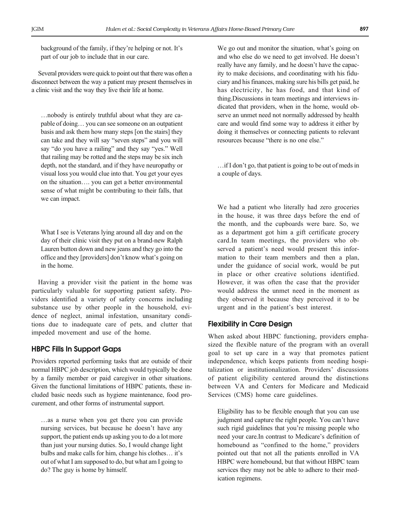background of the family, if they're helping or not. It's part of our job to include that in our care.

Several providers were quick to point out that there was often a disconnect between the way a patient may present themselves in a clinic visit and the way they live their life at home.

…nobody is entirely truthful about what they are capable of doing… you can see someone on an outpatient basis and ask them how many steps [on the stairs] they can take and they will say "seven steps" and you will say "do you have a railing" and they say "yes." Well that railing may be rotted and the steps may be six inch depth, not the standard, and if they have neuropathy or visual loss you would clue into that. You get your eyes on the situation…. you can get a better environmental sense of what might be contributing to their falls, that we can impact.

What I see is Veterans lying around all day and on the day of their clinic visit they put on a brand-new Ralph Lauren button down and new jeans and they go into the office and they [providers] don't know what's going on in the home.

Having a provider visit the patient in the home was particularly valuable for supporting patient safety. Providers identified a variety of safety concerns including substance use by other people in the household, evidence of neglect, animal infestation, unsanitary conditions due to inadequate care of pets, and clutter that impeded movement and use of the home.

#### HBPC Fills In Support Gaps

Providers reported performing tasks that are outside of their normal HBPC job description, which would typically be done by a family member or paid caregiver in other situations. Given the functional limitations of HBPC patients, these included basic needs such as hygiene maintenance, food procurement, and other forms of instrumental support.

…as a nurse when you get there you can provide nursing services, but because he doesn't have any support, the patient ends up asking you to do a lot more than just your nursing duties. So, I would change light bulbs and make calls for him, change his clothes… it's out of what I am supposed to do, but what am I going to do? The guy is home by himself.

We go out and monitor the situation, what's going on and who else do we need to get involved. He doesn't really have any family, and he doesn't have the capacity to make decisions, and coordinating with his fiduciary and his finances, making sure his bills get paid, he has electricity, he has food, and that kind of thing.Discussions in team meetings and interviews indicated that providers, when in the home, would observe an unmet need not normally addressed by health care and would find some way to address it either by doing it themselves or connecting patients to relevant resources because "there is no one else."

…if I don't go, that patient is going to be out of meds in a couple of days.

We had a patient who literally had zero groceries in the house, it was three days before the end of the month, and the cupboards were bare. So, we as a department got him a gift certificate grocery card.In team meetings, the providers who observed a patient's need would present this information to their team members and then a plan, under the guidance of social work, would be put in place or other creative solutions identified. However, it was often the case that the provider would address the unmet need in the moment as they observed it because they perceived it to be urgent and in the patient's best interest.

#### Flexibility in Care Design

When asked about HBPC functioning, providers emphasized the flexible nature of the program with an overall goal to set up care in a way that promotes patient independence, which keeps patients from needing hospitalization or institutionalization. Providers' discussions of patient eligibility centered around the distinctions between VA and Centers for Medicare and Medicaid Services (CMS) home care guidelines.

Eligibility has to be flexible enough that you can use judgment and capture the right people. You can't have such rigid guidelines that you're missing people who need your care.In contrast to Medicare's definition of homebound as "confined to the home," providers pointed out that not all the patients enrolled in VA HBPC were homebound, but that without HBPC team services they may not be able to adhere to their medication regimens.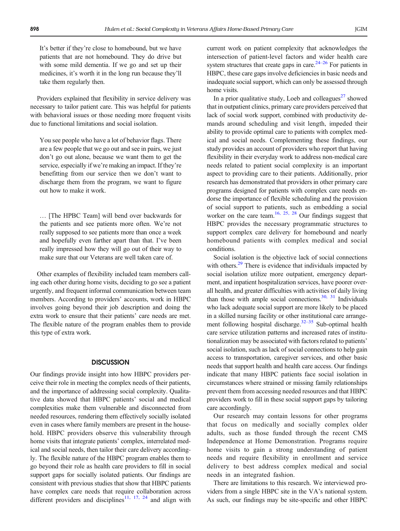It's better if they're close to homebound, but we have patients that are not homebound. They do drive but with some mild dementia. If we go and set up their medicines, it's worth it in the long run because they'll take them regularly then.

Providers explained that flexibility in service delivery was necessary to tailor patient care. This was helpful for patients with behavioral issues or those needing more frequent visits due to functional limitations and social isolation.

You see people who have a lot of behavior flags. There are a few people that we go out and see in pairs, we just don't go out alone, because we want them to get the service, especially if we're making an impact. If they're benefitting from our service then we don't want to discharge them from the program, we want to figure out how to make it work.

… [The HPBC Team] will bend over backwards for the patients and see patients more often. We're not really supposed to see patients more than once a week and hopefully even farther apart than that. I've been really impressed how they will go out of their way to make sure that our Veterans are well taken care of.

Other examples of flexibility included team members calling each other during home visits, deciding to go see a patient urgently, and frequent informal communication between team members. According to providers' accounts, work in HBPC involves going beyond their job description and doing the extra work to ensure that their patients' care needs are met. The flexible nature of the program enables them to provide this type of extra work.

#### **DISCUSSION**

Our findings provide insight into how HBPC providers perceive their role in meeting the complex needs of their patients, and the importance of addressing social complexity. Qualitative data showed that HBPC patients' social and medical complexities make them vulnerable and disconnected from needed resources, rendering them effectively socially isolated even in cases where family members are present in the household. HBPC providers observe this vulnerability through home visits that integrate patients' complex, interrelated medical and social needs, then tailor their care delivery accordingly. The flexible nature of the HBPC program enables them to go beyond their role as health care providers to fill in social support gaps for socially isolated patients. Our findings are consistent with previous studies that show that HBPC patients have complex care needs that require collaboration across different providers and disciplines<sup>11, 17, [24](#page-6-0)</sup> and align with current work on patient complexity that acknowledges the intersection of patient-level factors and wider health care system structures that create gaps in care. $24-26$  $24-26$  $24-26$  For patients in HBPC, these care gaps involve deficiencies in basic needs and inadequate social support, which can only be assessed through home visits.

In a prior qualitative study, Loeb and colleagues $^{27}$  showed that in outpatient clinics, primary care providers perceived that lack of social work support, combined with productivity demands around scheduling and visit length, impeded their ability to provide optimal care to patients with complex medical and social needs. Complementing these findings, our study provides an account of providers who report that having flexibility in their everyday work to address non-medical care needs related to patient social complexity is an important aspect to providing care to their patients. Additionally, prior research has demonstrated that providers in other primary care programs designed for patients with complex care needs endorse the importance of flexible scheduling and the provision of social support to patients, such as embedding a social worker on the care team.<sup>16, [25](#page-6-0), [28](#page-6-0)</sup> Our findings suggest that HBPC provides the necessary programmatic structures to support complex care delivery for homebound and nearly homebound patients with complex medical and social conditions.

Social isolation is the objective lack of social connections with others.<sup>29</sup> There is evidence that individuals impacted by social isolation utilize more outpatient, emergency department, and inpatient hospitalization services, have poorer overall health, and greater difficulties with activities of daily living than those with ample social connections. $30, 31$  $30, 31$  Individuals who lack adequate social support are more likely to be placed in a skilled nursing facility or other institutional care arrange-ment following hospital discharge.<sup>32–[35](#page-7-0)</sup> Sub-optimal health care service utilization patterns and increased rates of institutionalization may be associated with factors related to patients' social isolation, such as lack of social connections to help gain access to transportation, caregiver services, and other basic needs that support health and health care access. Our findings indicate that many HBPC patients face social isolation in circumstances where strained or missing family relationships prevent them from accessing needed resources and that HBPC providers work to fill in these social support gaps by tailoring care accordingly.

Our research may contain lessons for other programs that focus on medically and socially complex older adults, such as those funded through the recent CMS Independence at Home Demonstration. Programs require home visits to gain a strong understanding of patient needs and require flexibility in enrollment and service delivery to best address complex medical and social needs in an integrated fashion.

There are limitations to this research. We interviewed providers from a single HBPC site in the VA's national system. As such, our findings may be site-specific and other HBPC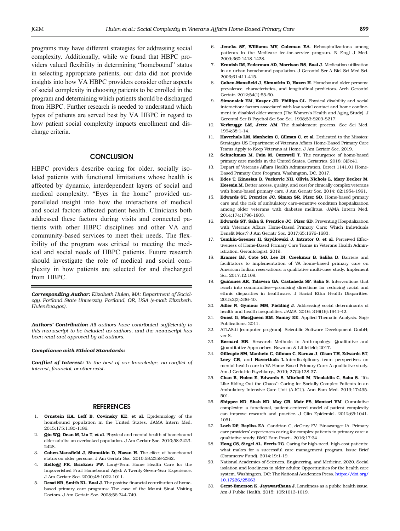<span id="page-6-0"></span>programs may have different strategies for addressing social complexity. Additionally, while we found that HBPC providers valued flexibility in determining "homebound" status in selecting appropriate patients, our data did not provide insights into how VA HBPC providers consider other aspects of social complexity in choosing patients to be enrolled in the program and determining which patients should be discharged from HBPC. Further research is needed to understand which types of patients are served best by VA HBPC in regard to how patient social complexity impacts enrollment and discharge criteria.

#### **CONCLUSION**

HBPC providers describe caring for older, socially isolated patients with functional limitations whose health is affected by dynamic, interdependent layers of social and medical complexity. "Eyes in the home" provided unparalleled insight into how the interactions of medical and social factors affected patient health. Clinicians both addressed these factors during visits and connected patients with other HBPC disciplines and other VA and community-based services to meet their needs. The flexibility of the program was critical to meeting the medical and social needs of HBPC patients. Future research should investigate the role of medical and social complexity in how patients are selected for and discharged from HBPC.

Corresponding Author: Elizabeth Hulen, MA; Department of Sociology, Portland State University, Portland, OR, USA (e-mail: Elizabeth. Hulen@va.gov).

Authors' Contribution All authors have contributed sufficiently to this manuscript to be included as authors, and the manuscript has been read and approved by all authors.

#### Compliance with Ethical Standards:

Conflict of Interest: To the best of our knowledge, no conflict of interest, financial, or other exist.

#### **REFERENCES**

- 1. Ornstein KA, Leff B, Covinsky KE, et al. Epidemiology of the homebound population in the United States. JAMA Intern Med. 2015;175:1180-1186.
- 2. Qiu WQ, Dean M, Liu T, et al. Physical and mental health of homebound older adults: an overlooked population. J Am Geriatr Soc. 2010;58:2423- 2428
- 3. Cohen-Mansfield J, Shmotkin D, Hazan H. The effect of homebound status on older persons. J Am Geriatr Soc. 2010;58:2358-2362.
- 4. Kellogg FR, Brickner PW. Long-Term Home Health Care for the Impoverished Frail Homebound Aged: A Twenty-Seven-Year Experience. J Am Geriatr Soc. 2000;48:1002-1011.
- 5. Desai NR, Smith KL, Boal J. The positive financial contribution of homebased primary care programs: The case of the Mount Sinai Visiting Doctors. J Am Geriatr Soc. 2008;56:744-749.
- 6. Jencks SF, Williams MV, Coleman EA. Rehospitalizations among patients in the Medicare fee-for-service program. N Engl J Med. 2009;360:1418-1428.
- 7. Kronish IM, Federman AD, Morrison RS, Boal J. Medication utilization in an urban homebound population. J Gerontol Ser A Biol Sci Med Sci. 2006;61:411-415.
- 8. Cohen-Mansfield J, Shmotkin D, Hazen H. Homebound older persons: prevalence, characteristics, and longitudinal predictors. Arch Gerontol Geriatr. 2012;54(1):55-60.
- 9. Simonsick EM, Kasper JD, Phillips CL. Physical disability and social interaction: factors associated with low social contact and home confinement in disabled older women (The Women's Health and Aging Study). J Gerontol Ser B Psychol Sci Soc Sci. 1998;53:S209-S217.
- 10. Verbrugge LM, Jette AM. The disablement process. Soc Sci Med. 1994;38:1-14.
- 11. Haverhals LM, Manheim C, Gilman C, et al. Dedicated to the Mission: Strategies US Department of Veterans Affairs Home-Based Primary Care Teams Apply to Keep Veterans at Home. J Am Geriatr Soc. 2019.
- 12. Schuchman M, Fain M, Cornwell T. The resurgence of home-based primary care models in the United States. Geriatrics. 2018; 3(3):41.
- 13. Depart of Veterans Affairs Health Administration. Direct 1141.01 Home-Based Primary Care Program. Washington, DC. 2017.
- 14. Edes T, Kinosian B, Vuckovic NH, Olivia Nichols L, Mary Becker M, Hossain M. Better access, quality, and cost for clinically complex veterans with home-based primary care. J Am Geriatr Soc. 2014; 62:1954-1961.
- 15. Edwards ST, Prentice JC, Simon SR, Pizer SD. Home-based primary care and the risk of ambulatory care–sensitive condition hospitalization among older veterans with diabetes mellitus. JAMA Intern Med. 2014;174:1796-1803.
- 16. Edwards ST, Saha S, Prentice JC, Pizer SD. Preventing Hospitalization with Veterans Affairs Home-Based Primary Care: Which Individuals Benefit Most? J Am Geriatr Soc. 2017;65:1676-1683.
- 17. Temkin-Greener H, Szydlowski J, Intrator O, et al. Perceived Effectiveness of Home-Based Primary Care Teams in Veterans Health Administration. Gerontologist. 2019.
- 18. Kramer BJ, Cote SD, Lee DI, Creekmur B, Saliba D. Barriers and facilitators to implementation of VA home-based primary care on American Indian reservations: a qualitative multi-case study. Implement Sci. 2017;12:109.
- 19. Quiñones AR, Talavera GA, Castañeda SF, Saha S. Interventions that reach into communities—promising directions for reducing racial and ethnic disparities in healthcare. J Racial Ethn Health Disparities. 2015;2(3):336-40.
- 20. Adler N, Gymour MM, Fielding J. Addressing social determinants of health and health inequalities. JAMA. 2016; 316(16):1641-42.
- 21. Guest G, MacQueen KM, Namey EE. Applied Thematic Analysis. Sage Publications; 2011.
- 22. ATLAS.ti [computer program]. Scientific Software Development GmbH; ver 8.
- 23. Bernard HR. Research Methods in Anthropology: Qualitative and Quantitative Approaches. Rowman & Littlefield; 2017.
- 24. Gillespie SM, Manhein C, Gilman C, Karuza J, Olsan TH, Edwards ST, Levy CR, and Haverthals L.Interdisciplinary team perspectives on mental health care in VA Home-Based Primary Care: A qualitative study. Am J Geriatric Psychiatry., 2019; 27(2):128-37.
- 25. Chan B, Hulen E, Edwards S, Mitchell M, Nicolaidis C, Saha S. "It's Like Riding Out the Chaos": Caring for Socially Complex Patients in an Ambulatory Intensive Care Unit (A-ICU). Ann Fam Med. 2019;17:495- 501.
- 26. Shippee ND, Shah ND, May CR, Mair FS, Montori VM. Cumulative complexity: a functional, patient-centered model of patient complexity can improve research and practice. J Clin Epidemiol. 2012;65:1041- 1051.
- 27. Loeb DF, Bayliss EA, Candrian C, deGruy FV, Binswanger IA. Primary care providers' experiences caring for complex patients in primary care: a qualitative study. BMC Fam Pract.. 2016;17:34
- 28. Hong CS, Siegel AL, Ferris TG. Caring for high-need, high-cost patients: what makes for a successful care management program. Issue Brief (Commonw Fund). 2014;19:1-19.
- 29. National Academies of Sciences, Engineering, and Medicine. 2020. Social isolation and loneliness in older adults: Opportunities for the health care system. Washington, DC: The National Academies Press. [https://doi.org/](http://dx.doi.org/10.17226/25663) [10.17226/25663](http://dx.doi.org/10.17226/25663)
- 30. Gerst-Emerson K, Jayawardhana J. Loneliness as a public health issue. Am J Public Health. 2015; 105:1013-1019.